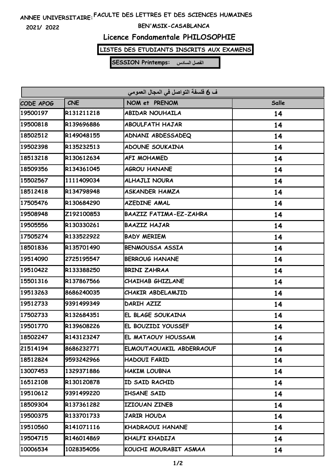## **FACULTE DES LETTRES ET DES SCIENCES HUMAINES ANNEE UNIVERSITAIRE:**

**2021/ 2022**

#### **BEN'MSIK-CASABLANCA**

### **Licence Fondamentale PHILOSOPHIE**

### **LISTES DES ETUDIANTS INSCRITS AUX EXAMENS**

**SESSION Printemps: الفصل السادس**

| ف 6 فلسفة التواصل في المجال العمومي |            |                               |       |  |  |
|-------------------------------------|------------|-------------------------------|-------|--|--|
| CODE APOG                           | <b>CNE</b> | NOM et PRENOM                 | Salle |  |  |
| 19500197                            | R131211218 | <b>ABIDAR NOUHAILA</b>        | 14    |  |  |
| 19500818                            | R139696886 | <b>ABOULFATH HAJAR</b>        | 14    |  |  |
| 18502512                            | R149048155 | ADNANI ABDESSADEQ             | 14    |  |  |
| 19502398                            | R135232513 | <b>ADOUNE SOUKAINA</b>        | 14    |  |  |
| 18513218                            | R130612634 | <b>AFI MOHAMED</b>            | 14    |  |  |
| 18509356                            | R134361045 | <b>AGROU HANANE</b>           | 14    |  |  |
| 15502567                            | 1111409034 | <b>ALHAJLI NOURA</b>          | 14    |  |  |
| 18512418                            | R134798948 | <b>ASKANDER HAMZA</b>         | 14    |  |  |
| 17505476                            | R130684290 | <b>AZEDINE AMAL</b>           | 14    |  |  |
| 19508948                            | Z192100853 | <b>BAAZIZ FATIMA-EZ-ZAHRA</b> | 14    |  |  |
| 19505556                            | R130330261 | <b>BAAZIZ HAJAR</b>           | 14    |  |  |
| 17505274                            | R133522922 | <b>BADY MERIEM</b>            | 14    |  |  |
| 18501836                            | R135701490 | <b>BENMOUSSA ASSIA</b>        | 14    |  |  |
| 19514090                            | 2725195547 | <b>BERROUG HANANE</b>         | 14    |  |  |
| 19510422                            | R133388250 | <b>BRINI ZAHRAA</b>           | 14    |  |  |
| 15501316                            | R137867566 | <b>CHAIHAB GHIZLANE</b>       | 14    |  |  |
| 19513263                            | 8686240035 | CHAKIR ABDELAMJID             | 14    |  |  |
| 19512733                            | 9391499349 | DARIH AZIZ                    | 14    |  |  |
| 17502733                            | R132684351 | EL BLAGE SOUKAINA             | 14    |  |  |
| 19501770                            | R139608226 | EL BOUZIDI YOUSSEF            | 14    |  |  |
| 18502247                            | R143123247 | EL MATAOUY HOUSSAM            | 14    |  |  |
| 21514194                            | 8686232771 | ELMOUTAOUAKIL ABDERRAOUF      | 14    |  |  |
| 18512824                            | 9593242966 | HADOUI FARID                  | 14    |  |  |
| 13007453                            | 1329371886 | HAKIM LOUBNA                  | 14    |  |  |
| 16512108                            | R130120878 | ID SAID RACHID                | 14    |  |  |
| 19510612                            | 9391499220 | <b>IHSANE SAID</b>            | 14    |  |  |
| 18509304                            | R137361282 | IZIOUAN ZINEB                 | 14    |  |  |
| 19500375                            | R133701733 | <b>JARIR HOUDA</b>            | 14    |  |  |
| 19510560                            | R141071116 | KHADRAOUI HANANE              | 14    |  |  |
| 19504715                            | R146014869 | KHALFI KHADIJA                | 14    |  |  |
| 10006534                            | 1028354056 | KOUCHI MOURABIT ASMAA         | 14    |  |  |